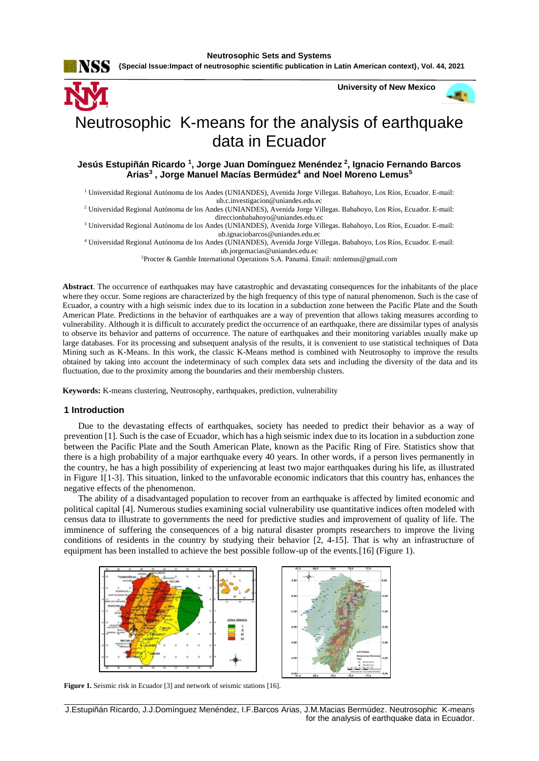**{Special Issue:Impact of neutrosophic scientific publication in Latin American context}, Vol. 44, 2021**



# Neutrosophic K-means for the analysis of earthquake data in Ecuador

# **Jesús Estupiñán Ricardo <sup>1</sup> , Jorge Juan Domínguez Menéndez <sup>2</sup> , Ignacio Fernando Barcos Arias<sup>3</sup> , Jorge Manuel Macías Bermúdez<sup>4</sup>and Noel Moreno Lemus<sup>5</sup>**

<sup>1</sup> Universidad Regional Autónoma de los Andes (UNIANDES), Avenida Jorge Villegas. Babahoyo, Los Ríos, Ecuador. E-mail: ub.c.investigacion@uniandes.edu.ec

<sup>2</sup> Universidad Regional Autónoma de los Andes (UNIANDES), Avenida Jorge Villegas. Babahoyo, Los Ríos, Ecuador. E-mail: direccionbabahoyo@uniandes.edu.ec

<sup>3</sup> Universidad Regional Autónoma de los Andes (UNIANDES), Avenida Jorge Villegas. Babahoyo, Los Ríos, Ecuador. E-mail: ub.ignaciobarcos@uniandes.edu.ec

<sup>4</sup> Universidad Regional Autónoma de los Andes (UNIANDES), Avenida Jorge Villegas. Babahoyo, Los Ríos, Ecuador. E-mail: [ub.jorgemacias@uniandes.edu.ec](mailto:ub.jorgemacias@uniandes.edu.ec)

<sup>5</sup>Procter & Gamble International Operations S.A. Panamá. Email[: nmlemus@gmail.com](mailto:nmlemus@gmail.com)

**Abstract**. The occurrence of earthquakes may have catastrophic and devastating consequences for the inhabitants of the place where they occur. Some regions are characterized by the high frequency of this type of natural phenomenon. Such is the case of Ecuador, a country with a high seismic index due to its location in a subduction zone between the Pacific Plate and the South American Plate. Predictions in the behavior of earthquakes are a way of prevention that allows taking measures according to vulnerability. Although it is difficult to accurately predict the occurrence of an earthquake, there are dissimilar types of analysis to observe its behavior and patterns of occurrence. The nature of earthquakes and their monitoring variables usually make up large databases. For its processing and subsequent analysis of the results, it is convenient to use statistical techniques of Data Mining such as K-Means. In this work, the classic K-Means method is combined with Neutrosophy to improve the results obtained by taking into account the indeterminacy of such complex data sets and including the diversity of the data and its fluctuation, due to the proximity among the boundaries and their membership clusters.

**Keywords:** K-means clustering, Neutrosophy, earthquakes, prediction, vulnerability

# **1 Introduction**

Due to the devastating effects of earthquakes, society has needed to predict their behavior as a way of prevention [1]. Such is the case of Ecuador, which has a high seismic index due to its location in a subduction zone between the Pacific Plate and the South American Plate, known as the Pacific Ring of Fire. Statistics show that there is a high probability of a major earthquake every 40 years. In other words, if a person lives permanently in the country, he has a high possibility of experiencing at least two major earthquakes during his life, as illustrated in Figure 1[\[1-3\]](#page-5-0). This situation, linked to the unfavorable economic indicators that this country has, enhances the negative effects of the phenomenon.

The ability of a disadvantaged population to recover from an earthquake is affected by limited economic and political capital [\[4\]](#page-5-1). Numerous studies examining social vulnerability use quantitative indices often modeled with census data to illustrate to governments the need for predictive studies and improvement of quality of life. The imminence of suffering the consequences of a big natural disaster prompts researchers to improve the living conditions of residents in the country by studying their behavior [\[2,](#page-5-2) [4-15\]](#page-5-1). That is why an infrastructure of equipment has been installed to achieve the best possible follow-up of the events.[\[16\]](#page-5-3) (Figure 1).





**Figure 1.** Seismic risk in Ecuador [\[3\]](#page-5-4) and network of seismic stations [\[16\]](#page-5-3).

\_\_\_\_\_\_\_\_\_\_\_\_\_\_\_\_\_\_\_\_\_\_\_\_\_\_\_\_\_\_\_\_\_\_\_\_\_\_\_\_\_\_\_\_\_\_\_\_\_\_\_\_\_\_\_\_\_\_\_\_\_\_\_\_\_\_\_\_\_\_\_\_\_\_\_\_\_\_\_\_\_\_\_\_\_\_\_\_\_\_ J.Estupiñán Ricardo, J.J.Domínguez Menéndez, I.F.Barcos Arias, J.M.Macias Bermúdez. Neutrosophic K-means for the analysis of earthquake data in Ecuador.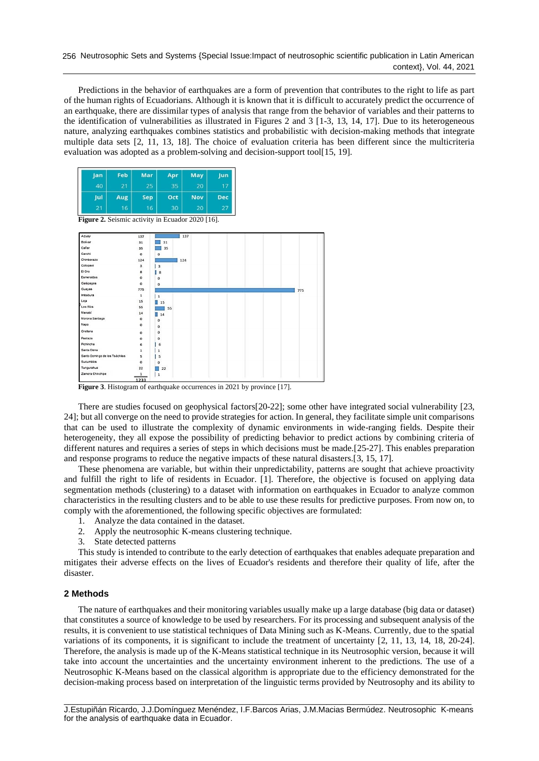Predictions in the behavior of earthquakes are a form of prevention that contributes to the right to life as part of the human rights of Ecuadorians. Although it is known that it is difficult to accurately predict the occurrence of an earthquake, there are dissimilar types of analysis that range from the behavior of variables and their patterns to the identification of vulnerabilities as illustrated in Figures 2 and 3 [\[1-3,](#page-5-0) [13,](#page-5-5) [14,](#page-5-6) [17\]](#page-5-7). Due to its heterogeneous nature, analyzing earthquakes combines statistics and probabilistic with decision-making methods that integrate multiple data sets [\[2,](#page-5-2) [11,](#page-5-8) [13,](#page-5-5) [18\]](#page-5-9). The choice of evaluation criteria has been different since the multicriteria evaluation was adopted as a problem-solving and decision-support tool[\[15,](#page-5-10) [19\]](#page-5-11).



**Figure 3**. Histogram of earthquake occurrences in 2021 by province [\[17\]](#page-5-7).

There are studies focused on geophysical factors[\[20-22\]](#page-5-12); some other have integrated social vulnerability [\[23,](#page-6-0) [24\]](#page-6-1); but all converge on the need to provide strategies for action. In general, they facilitate simple unit comparisons that can be used to illustrate the complexity of dynamic environments in wide-ranging fields. Despite their heterogeneity, they all expose the possibility of predicting behavior to predict actions by combining criteria of different natures and requires a series of steps in which decisions must be made.[\[25-27\]](#page-6-2). This enables preparation and response programs to reduce the negative impacts of these natural disasters.[\[3,](#page-5-4) [15,](#page-5-10) [17\]](#page-5-7).

These phenomena are variable, but within their unpredictability, patterns are sought that achieve proactivity and fulfill the right to life of residents in Ecuador. [\[1\]](#page-5-0). Therefore, the objective is focused on applying data segmentation methods (clustering) to a dataset with information on earthquakes in Ecuador to analyze common characteristics in the resulting clusters and to be able to use these results for predictive purposes. From now on, to comply with the aforementioned, the following specific objectives are formulated:

- 1. Analyze the data contained in the dataset.
- 2. Apply the neutrosophic K-means clustering technique.
- 3. State detected patterns

This study is intended to contribute to the early detection of earthquakes that enables adequate preparation and mitigates their adverse effects on the lives of Ecuador's residents and therefore their quality of life, after the disaster.

# **2 Methods**

The nature of earthquakes and their monitoring variables usually make up a large database (big data or dataset) that constitutes a source of knowledge to be used by researchers. For its processing and subsequent analysis of the results, it is convenient to use statistical techniques of Data Mining such as K-Means. Currently, due to the spatial variations of its components, it is significant to include the treatment of uncertainty [\[2,](#page-5-2) [11,](#page-5-8) [13,](#page-5-5) [14,](#page-5-6) [18,](#page-5-9) [20-24\]](#page-5-12). Therefore, the analysis is made up of the K-Means statistical technique in its Neutrosophic version, because it will take into account the uncertainties and the uncertainty environment inherent to the predictions. The use of a Neutrosophic K-Means based on the classical algorithm is appropriate due to the efficiency demonstrated for the decision-making process based on interpretation of the linguistic terms provided by Neutrosophy and its ability to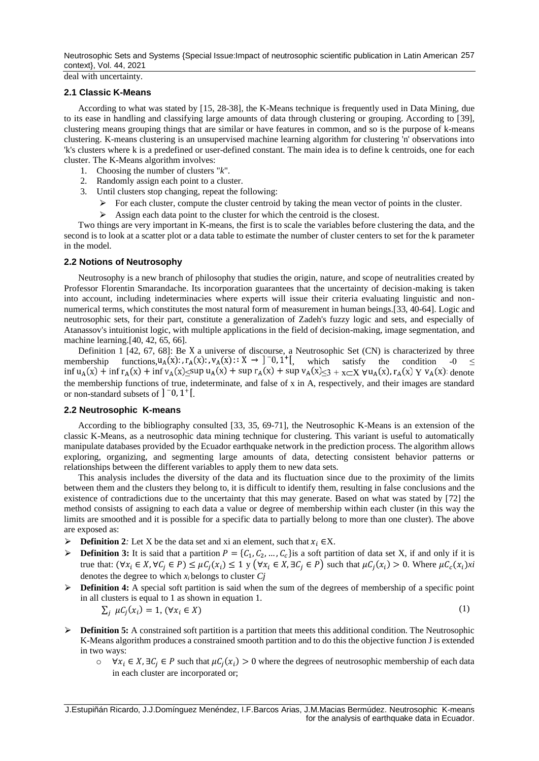Neutrosophic Sets and Systems {Special Issue:Impact of neutrosophic scientific publication in Latin American 257 context}, Vol. 44, 2021

deal with uncertainty.

#### **2.1 Classic K-Means**

According to what was stated by [\[15,](#page-5-10) [28-38\]](#page-6-3), the K-Means technique is frequently used in Data Mining, due to its ease in handling and classifying large amounts of data through clustering or grouping. According to [\[39\]](#page-6-4), clustering means grouping things that are similar or have features in common, and so is the purpose of k-means clustering. K-means clustering is an unsupervised machine learning algorithm for clustering 'n' observations into 'k's clusters where k is a predefined or user-defined constant. The main idea is to define k centroids, one for each cluster. The K-Means algorithm involves:

- 1. Choosing the number of clusters "*k*".
- 2. Randomly assign each point to a cluster.
- 3. Until clusters stop changing, repeat the following:
	- $\triangleright$  For each cluster, compute the cluster centroid by taking the mean vector of points in the cluster.
	- $\triangleright$  Assign each data point to the cluster for which the centroid is the closest.

Two things are very important in K-means, the first is to scale the variables before clustering the data, and the second is to look at a scatter plot or a data table to estimate the number of cluster centers to set for the k parameter in the model.

# **2.2 Notions of Neutrosophy**

Neutrosophy is a new branch of philosophy that studies the origin, nature, and scope of neutralities created by Professor Florentin Smarandache. Its incorporation guarantees that the uncertainty of decision-making is taken into account, including indeterminacies where experts will issue their criteria evaluating linguistic and nonnumerical terms, which constitutes the most natural form of measurement in human beings.[\[33,](#page-6-5) [40-64\]](#page-6-6). Logic and neutrosophic sets, for their part, constitute a generalization of Zadeh's fuzzy logic and sets, and especially of Atanassov's intuitionist logic, with multiple applications in the field of decision-making, image segmentation, and machine learning.[\[40,](#page-6-6) [42,](#page-6-7) [65,](#page-7-0) [66\]](#page-7-1).

Definition  $1$  [\[42,](#page-6-7) [67,](#page-7-2) [68\]](#page-7-3): Be X a universe of discourse, a Neutrosophic Set (CN) is characterized by three membership functions,  $u_A(x)$ :  $r_A(x)$ :  $v_A(x)$ :  $X \to 0$   $\in$   $\{0, 1^+\}$ , which satisfy the condition  $-0 \le$  $\int \inf u_A(x) + \inf r_A(x) + \inf v_A(x) \leq \sup u_A(x) + \sup r_A(x) + \sup v_A(x) \leq 3 + \sup x \leq X$   $\forall u_A(x), r_A(x) \leq v_A(x)$ . denote the membership functions of true, indeterminate, and false of x in A, respectively, and their images are standard or non-standard subsets of  $]$ <sup>-0</sup>, 1<sup>+</sup>[.

# **2.2 Neutrosophic K-means**

According to the bibliography consulted [\[33,](#page-6-5) [35,](#page-6-8) [69-71\]](#page-7-4), the Neutrosophic K-Means is an extension of the classic K-Means, as a neutrosophic data mining technique for clustering. This variant is useful to automatically manipulate databases provided by the Ecuador earthquake network in the prediction process. The algorithm allows exploring, organizing, and segmenting large amounts of data, detecting consistent behavior patterns or relationships between the different variables to apply them to new data sets.

This analysis includes the diversity of the data and its fluctuation since due to the proximity of the limits between them and the clusters they belong to, it is difficult to identify them, resulting in false conclusions and the existence of contradictions due to the uncertainty that this may generate. Based on what was stated by [\[72\]](#page-7-5) the method consists of assigning to each data a value or degree of membership within each cluster (in this way the limits are smoothed and it is possible for a specific data to partially belong to more than one cluster). The above are exposed as:

- $\triangleright$  **Definition 2***:* Let X be the data set and xi an element, such that  $x_i \in X$ .
- **Definition 3:** It is said that a partition  $P = \{C_1, C_2, ..., C_c\}$  is a soft partition of data set X, if and only if it is true that:  $(\forall x_i \in X, \forall C_j \in P) \leq \mu C_j(x_i) \leq 1$  y  $(\forall x_i \in X, \exists C_j \in P)$  such that  $\mu C_j(x_i) > 0$ . Where  $\mu C_c(x_i)$ *xi* denotes the degree to which *x<sup>i</sup>* belongs to cluster *Cj*
- **► Definition 4:** A special soft partition is said when the sum of the degrees of membership of a specific point in all clusters is equal to 1 as shown in equation 1.

$$
\sum_{j} \mu C_j(x_i) = 1, \, (\forall x_i \in X) \tag{1}
$$

- ⮚ **Definition 5:** A constrained soft partition is a partition that meets this additional condition. The Neutrosophic K-Means algorithm produces a constrained smooth partition and to do this the objective function J is extended in two ways:
	- $\circ$   $\forall x_i \in X, \exists C_j \in P$  such that  $\mu C_j(x_i) > 0$  where the degrees of neutrosophic membership of each data in each cluster are incorporated or;

\_\_\_\_\_\_\_\_\_\_\_\_\_\_\_\_\_\_\_\_\_\_\_\_\_\_\_\_\_\_\_\_\_\_\_\_\_\_\_\_\_\_\_\_\_\_\_\_\_\_\_\_\_\_\_\_\_\_\_\_\_\_\_\_\_\_\_\_\_\_\_\_\_\_\_\_\_\_\_\_\_\_\_\_\_\_\_\_\_\_ J.Estupiñán Ricardo, J.J.Domínguez Menéndez, I.F.Barcos Arias, J.M.Macias Bermúdez. Neutrosophic K-means for the analysis of earthquake data in Ecuador.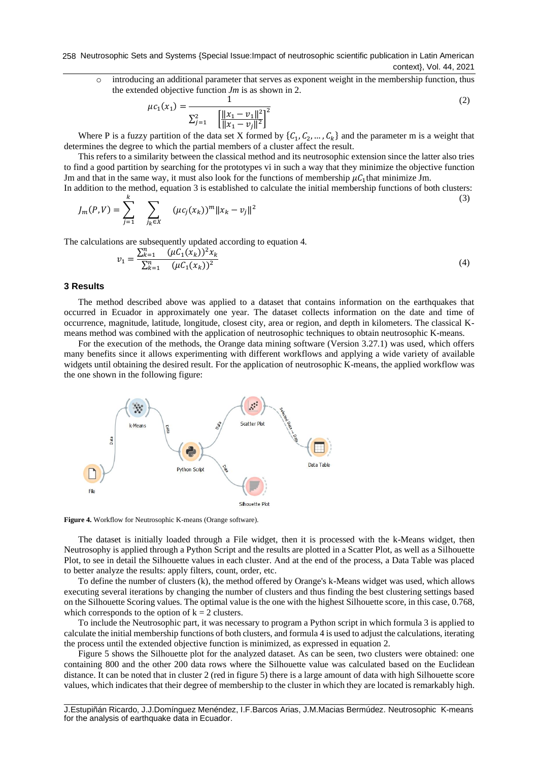258 Neutrosophic Sets and Systems {Special Issue:Impact of neutrosophic scientific publication in Latin American context}, Vol. 44, 2021

o introducing an additional parameter that serves as exponent weight in the membership function, thus the extended objective function *Jm* is as shown in 2.

$$
\mu c_1(x_1) = \frac{1}{\sum_{j=1}^2 \left[ \frac{||x_1 - v_1||^2}{||x_1 - v_j||^2} \right]^2}
$$
(2)

Where P is a fuzzy partition of the data set X formed by  $\{C_1, C_2, ..., C_k\}$  and the parameter m is a weight that determines the degree to which the partial members of a cluster affect the result.

This refers to a similarity between the classical method and its neutrosophic extension since the latter also tries to find a good partition by searching for the prototypes vi in such a way that they minimize the objective function Jm and that in the same way, it must also look for the functions of membership  $\mu C_1$  that minimize Jm.

In addition to the method, equation 3 is established to calculate the initial membership functions of both clusters:  $\mathbf{k}$ (3)

$$
J_m(P,V) = \sum_{j=1}^N \sum_{j_k \in X} (\mu c_j(x_k))^m ||x_k - v_j||^2
$$

The calculations are subsequently updated according to equation 4.

$$
v_1 = \frac{\sum_{k=1}^{n} (\mu C_1(x_k))^2 x_k}{\sum_{k=1}^{n} (\mu C_1(x_k))^2}
$$
(4)

#### **3 Results**

The method described above was applied to a dataset that contains information on the earthquakes that occurred in Ecuador in approximately one year. The dataset collects information on the date and time of occurrence, magnitude, latitude, longitude, closest city, area or region, and depth in kilometers. The classical Kmeans method was combined with the application of neutrosophic techniques to obtain neutrosophic K-means.

For the execution of the methods, the Orange data mining software (Version 3.27.1) was used, which offers many benefits since it allows experimenting with different workflows and applying a wide variety of available widgets until obtaining the desired result. For the application of neutrosophic K-means, the applied workflow was the one shown in the following figure:



**Figure 4.** Workflow for Neutrosophic K-means (Orange software).

The dataset is initially loaded through a File widget, then it is processed with the k-Means widget, then Neutrosophy is applied through a Python Script and the results are plotted in a Scatter Plot, as well as a Silhouette Plot, to see in detail the Silhouette values in each cluster. And at the end of the process, a Data Table was placed to better analyze the results: apply filters, count, order, etc.

To define the number of clusters (k), the method offered by Orange's k-Means widget was used, which allows executing several iterations by changing the number of clusters and thus finding the best clustering settings based on the Silhouette Scoring values. The optimal value is the one with the highest Silhouette score, in this case, 0.768, which corresponds to the option of  $k = 2$  clusters.

To include the Neutrosophic part, it was necessary to program a Python script in which formula 3 is applied to calculate the initial membership functions of both clusters, and formula 4 is used to adjust the calculations, iterating the process until the extended objective function is minimized, as expressed in equation 2.

Figure 5 shows the Silhouette plot for the analyzed dataset. As can be seen, two clusters were obtained: one containing 800 and the other 200 data rows where the Silhouette value was calculated based on the Euclidean distance. It can be noted that in cluster 2 (red in figure 5) there is a large amount of data with high Silhouette score values, which indicates that their degree of membership to the cluster in which they are located is remarkably high.

\_\_\_\_\_\_\_\_\_\_\_\_\_\_\_\_\_\_\_\_\_\_\_\_\_\_\_\_\_\_\_\_\_\_\_\_\_\_\_\_\_\_\_\_\_\_\_\_\_\_\_\_\_\_\_\_\_\_\_\_\_\_\_\_\_\_\_\_\_\_\_\_\_\_\_\_\_\_\_\_\_\_\_\_\_\_\_\_\_\_ J.Estupiñán Ricardo, J.J.Domínguez Menéndez, I.F.Barcos Arias, J.M.Macias Bermúdez. Neutrosophic K-means for the analysis of earthquake data in Ecuador.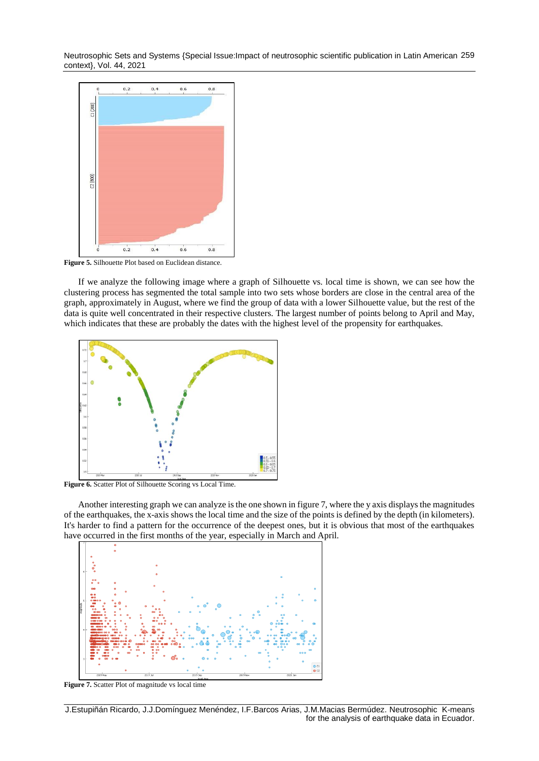Neutrosophic Sets and Systems {Special Issue:Impact of neutrosophic scientific publication in Latin American 259 context}, Vol. 44, 2021



Figure 5. Silhouette Plot based on Euclidean distance.

If we analyze the following image where a graph of Silhouette vs. local time is shown, we can see how the clustering process has segmented the total sample into two sets whose borders are close in the central area of the graph, approximately in August, where we find the group of data with a lower Silhouette value, but the rest of the data is quite well concentrated in their respective clusters. The largest number of points belong to April and May, which indicates that these are probably the dates with the highest level of the propensity for earthquakes.



Figure 6. Scatter Plot of Silhouette Scoring vs Local Time.

Another interesting graph we can analyze is the one shown in figure 7, where the y axis displays the magnitudes of the earthquakes, the x-axis shows the local time and the size of the points is defined by the depth (in kilometers). It's harder to find a pattern for the occurrence of the deepest ones, but it is obvious that most of the earthquakes have occurred in the first months of the year, especially in March and April.



Figure 7. Scatter Plot of magnitude vs local time

\_\_\_\_\_\_\_\_\_\_\_\_\_\_\_\_\_\_\_\_\_\_\_\_\_\_\_\_\_\_\_\_\_\_\_\_\_\_\_\_\_\_\_\_\_\_\_\_\_\_\_\_\_\_\_\_\_\_\_\_\_\_\_\_\_\_\_\_\_\_\_\_\_\_\_\_\_\_\_\_\_\_\_\_\_\_\_\_\_\_ J.Estupiñán Ricardo, J.J.Domínguez Menéndez, I.F.Barcos Arias, J.M.Macias Bermúdez. Neutrosophic K-means for the analysis of earthquake data in Ecuador.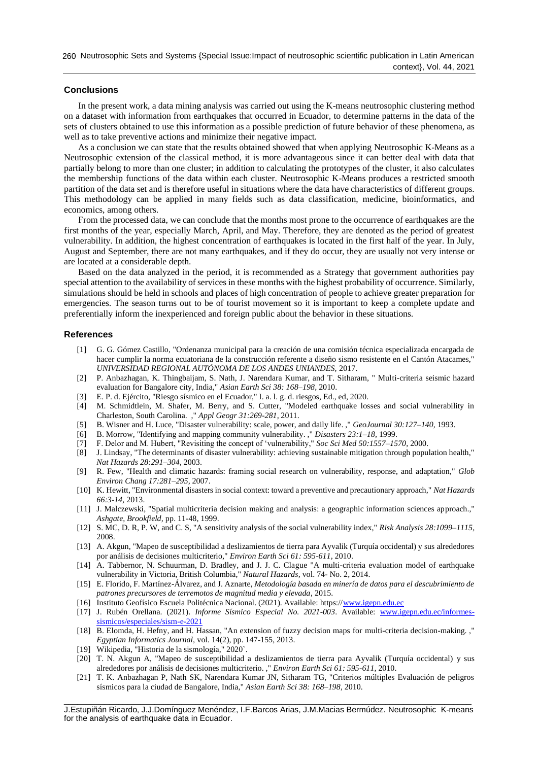# **Conclusions**

In the present work, a data mining analysis was carried out using the K-means neutrosophic clustering method on a dataset with information from earthquakes that occurred in Ecuador, to determine patterns in the data of the sets of clusters obtained to use this information as a possible prediction of future behavior of these phenomena, as well as to take preventive actions and minimize their negative impact.

As a conclusion we can state that the results obtained showed that when applying Neutrosophic K-Means as a Neutrosophic extension of the classical method, it is more advantageous since it can better deal with data that partially belong to more than one cluster; in addition to calculating the prototypes of the cluster, it also calculates the membership functions of the data within each cluster. Neutrosophic K-Means produces a restricted smooth partition of the data set and is therefore useful in situations where the data have characteristics of different groups. This methodology can be applied in many fields such as data classification, medicine, bioinformatics, and economics, among others.

From the processed data, we can conclude that the months most prone to the occurrence of earthquakes are the first months of the year, especially March, April, and May. Therefore, they are denoted as the period of greatest vulnerability. In addition, the highest concentration of earthquakes is located in the first half of the year. In July, August and September, there are not many earthquakes, and if they do occur, they are usually not very intense or are located at a considerable depth.

Based on the data analyzed in the period, it is recommended as a Strategy that government authorities pay special attention to the availability of services in these months with the highest probability of occurrence. Similarly, simulations should be held in schools and places of high concentration of people to achieve greater preparation for emergencies. The season turns out to be of tourist movement so it is important to keep a complete update and preferentially inform the inexperienced and foreign public about the behavior in these situations.

#### **References**

- <span id="page-5-0"></span>[1] G. G. Gómez Castillo, "Ordenanza municipal para la creación de una comisión técnica especializada encargada de hacer cumplir la norma ecuatoriana de la construcción referente a diseño sismo resistente en el Cantón Atacames," *UNIVERSIDAD REGIONAL AUTÓNOMA DE LOS ANDES UNIANDES,* 2017.
- <span id="page-5-2"></span>[2] P. Anbazhagan, K. Thingbaijam, S. Nath, J. Narendara Kumar, and T. Sitharam, " Multi-criteria seismic hazard evaluation for Bangalore city, India," *Asian Earth Sci 38: 168–198,* 2010.
- <span id="page-5-4"></span>[3] E. P. d. Ejército, "Riesgo sísmico en el Ecuador," I. a. l. g. d. riesgos, Ed., ed, 2020.
- <span id="page-5-1"></span>[4] M. Schmidtlein, M. Shafer, M. Berry, and S. Cutter, "Modeled earthquake losses and social vulnerability in Charleston, South Carolina. ," *Appl Geogr 31:269-281,* 2011.
- [5] B. Wisner and H. Luce, "Disaster vulnerability: scale, power, and daily life. ," *GeoJournal 30:127–140,* 1993.
- [6] B. Morrow, "Identifying and mapping community vulnerability. ," *Disasters 23:1–18,* 1999.
- [7] F. Delor and M. Hubert, "Revisiting the concept of 'vulnerability," *Soc Sci Med 50:1557–1570,* 2000.
- [8] J. Lindsay, "The determinants of disaster vulnerability: achieving sustainable mitigation through population health," *Nat Hazards 28:291–304,* 2003.
- [9] R. Few, "Health and climatic hazards: framing social research on vulnerability, response, and adaptation," *Glob Environ Chang 17:281–295,* 2007.
- [10] K. Hewitt, "Environmental disasters in social context: toward a preventive and precautionary approach," *Nat Hazards 66:3-14,* 2013.
- <span id="page-5-8"></span>[11] J. Malczewski, "Spatial multicriteria decision making and analysis: a geographic information sciences approach.," *Ashgate, Brookfield,* pp. 11-48, 1999.
- [12] S. MC, D. R, P. W, and C. S, "A sensitivity analysis of the social vulnerability index," *Risk Analysis 28:1099–1115,*  2008.
- <span id="page-5-5"></span>[13] A. Akgun, "Mapeo de susceptibilidad a deslizamientos de tierra para Ayvalik (Turquía occidental) y sus alrededores por análisis de decisiones multicriterio," *Environ Earth Sci 61: 595-611,* 2010.
- <span id="page-5-6"></span>[14] A. Tabbernor, N. Schuurman, D. Bradley, and J. J. C. Clague "A multi-criteria evaluation model of earthquake vulnerability in Victoria, British Columbia," *Natural Hazards,* vol. 74- No. 2, 2014.
- <span id="page-5-10"></span>[15] E. Florido, F. Martínez-Álvarez, and J. Aznarte, *Metodología basada en minería de datos para el descubrimiento de patrones precursores de terremotos de magnitud media y elevada*, 2015.
- <span id="page-5-3"></span>[16] Instituto Geofísico Escuela Politécnica Nacional. (2021). Available: https:/[/www.igepn.edu.ec](http://www.igepn.edu.ec/)
- <span id="page-5-7"></span>[17] J. Rubén Orellana. (2021). *Informe Sísmico Especial No. 2021-003*. Available: [www.igepn.edu.ec/informes](http://www.igepn.edu.ec/informes-sismicos/especiales/sism-e-2021)[sismicos/especiales/sism-e-2021](http://www.igepn.edu.ec/informes-sismicos/especiales/sism-e-2021)
- <span id="page-5-9"></span>[18] B. Elomda, H. Hefny, and H. Hassan, "An extension of fuzzy decision maps for multi-criteria decision-making. ," *Egyptian Informatics Journal,* vol. 14(2), pp. 147-155, 2013.
- <span id="page-5-11"></span>[19] Wikipedia, "Historia de la sismología," 2020`.
- <span id="page-5-12"></span>[20] T. N. Akgun A, "Mapeo de susceptibilidad a deslizamientos de tierra para Ayvalik (Turquía occidental) y sus alrededores por análisis de decisiones multicriterio. ," *Environ Earth Sci 61: 595-611,* 2010.
- [21] T. K. Anbazhagan P, Nath SK, Narendara Kumar JN, Sitharam TG, "Criterios múltiples Evaluación de peligros sísmicos para la ciudad de Bangalore, India," *Asian Earth Sci 38: 168–198,* 2010.

\_\_\_\_\_\_\_\_\_\_\_\_\_\_\_\_\_\_\_\_\_\_\_\_\_\_\_\_\_\_\_\_\_\_\_\_\_\_\_\_\_\_\_\_\_\_\_\_\_\_\_\_\_\_\_\_\_\_\_\_\_\_\_\_\_\_\_\_\_\_\_\_\_\_\_\_\_\_\_\_\_\_\_\_\_\_\_\_\_\_ J.Estupiñán Ricardo, J.J.Domínguez Menéndez, I.F.Barcos Arias, J.M.Macias Bermúdez. Neutrosophic K-means for the analysis of earthquake data in Ecuador.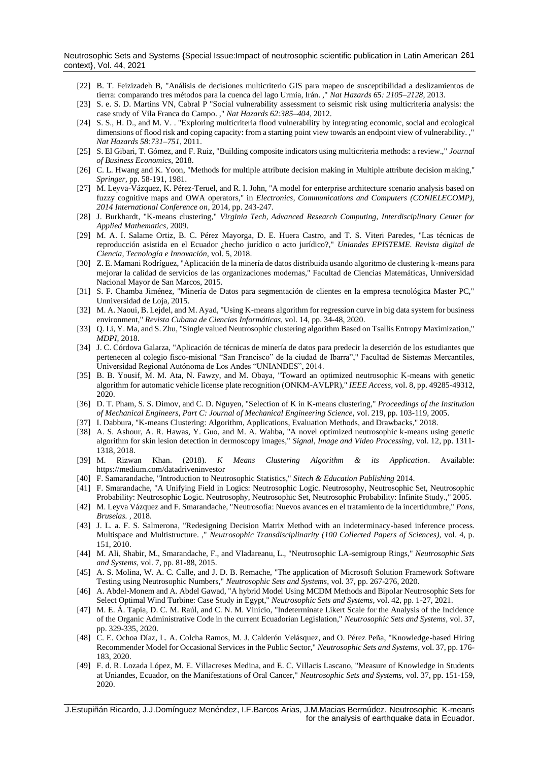Neutrosophic Sets and Systems {Special Issue:Impact of neutrosophic scientific publication in Latin American 261 context}, Vol. 44, 2021

- [22] B. T. Feizizadeh B, "Análisis de decisiones multicriterio GIS para mapeo de susceptibilidad a deslizamientos de tierra: comparando tres métodos para la cuenca del lago Urmia, Irán. ," *Nat Hazards 65: 2105–2128,* 2013.
- <span id="page-6-0"></span>[23] S. e. S. D. Martins VN, Cabral P "Social vulnerability assessment to seismic risk using multicriteria analysis: the case study of Vila Franca do Campo. ," *Nat Hazards 62:385–404,* 2012.
- <span id="page-6-1"></span>[24] S. S., H. D., and M. V. . "Exploring multicriteria flood vulnerability by integrating economic, social and ecological dimensions of flood risk and coping capacity: from a starting point view towards an endpoint view of vulnerability. ," *Nat Hazards 58:731–751,* 2011.
- <span id="page-6-2"></span>[25] S. El Gibari, T. Gómez, and F. Ruiz, "Building composite indicators using multicriteria methods: a review.," *Journal of Business Economics,* 2018.
- [26] C. L. Hwang and K. Yoon, "Methods for multiple attribute decision making in Multiple attribute decision making," *Springer,* pp. 58-191, 1981.
- [27] M. Leyva-Vázquez, K. Pérez-Teruel, and R. I. John, "A model for enterprise architecture scenario analysis based on fuzzy cognitive maps and OWA operators," in *Electronics, Communications and Computers (CONIELECOMP), 2014 International Conference on*, 2014, pp. 243-247.
- <span id="page-6-3"></span>[28] J. Burkhardt, "K-means clustering," *Virginia Tech, Advanced Research Computing, Interdisciplinary Center for Applied Mathematics,* 2009.
- [29] M. A. I. Salame Ortiz, B. C. Pérez Mayorga, D. E. Huera Castro, and T. S. Viteri Paredes, "Las técnicas de reproducción asistida en el Ecuador ¿hecho jurídico o acto jurídico?," *Uniandes EPISTEME. Revista digital de Ciencia, Tecnología e Innovación,* vol. 5, 2018.
- [30] Z. E. Mamani Rodríguez, "Aplicación de la minería de datos distribuida usando algoritmo de clustering k-means para mejorar la calidad de servicios de las organizaciones modernas," Facultad de Ciencias Matemáticas, Unniversidad Nacional Mayor de San Marcos, 2015.
- [31] S. F. Chamba Jiménez, "Minería de Datos para segmentación de clientes en la empresa tecnológica Master PC," Unniversidad de Loja, 2015.
- [32] M. A. Naoui, B. Lejdel, and M. Ayad, "Using K-means algorithm for regression curve in big data system for business environment," *Revista Cubana de Ciencias Informáticas,* vol. 14, pp. 34-48, 2020.
- <span id="page-6-5"></span>[33] Q. Li, Y. Ma, and S. Zhu, "Single valued Neutrosophic clustering algorithm Based on Tsallis Entropy Maximization," *MDPI,* 2018.
- [34] J. C. Córdova Galarza, "Aplicación de técnicas de minería de datos para predecir la deserción de los estudiantes que pertenecen al colegio fisco-misional "San Francisco" de la ciudad de Ibarra"," Facultad de Sistemas Mercantiles, Universidad Regional Autónoma de Los Andes "UNIANDES", 2014.
- <span id="page-6-8"></span>[35] B. B. Yousif, M. M. Ata, N. Fawzy, and M. Obaya, "Toward an optimized neutrosophic K-means with genetic algorithm for automatic vehicle license plate recognition (ONKM-AVLPR)," *IEEE Access,* vol. 8, pp. 49285-49312, 2020.
- [36] D. T. Pham, S. S. Dimov, and C. D. Nguyen, "Selection of K in K-means clustering," *Proceedings of the Institution of Mechanical Engineers, Part C: Journal of Mechanical Engineering Science,* vol. 219, pp. 103-119, 2005.
- [37] I. Dabbura, "K-means Clustering: Algorithm, Applications, Evaluation Methods, and Drawbacks," 2018.
- [38] A. S. Ashour, A. R. Hawas, Y. Guo, and M. A. Wahba, "A novel optimized neutrosophic k-means using genetic algorithm for skin lesion detection in dermoscopy images," *Signal, Image and Video Processing,* vol. 12, pp. 1311- 1318, 2018.
- <span id="page-6-4"></span>[39] M. Rizwan Khan. (2018). *K Means Clustering Algorithm & its Application*. Available: https://medium.com/datadriveninvestor
- <span id="page-6-6"></span>[40] F. Samarandache, "Introduction to Neutrosophic Statistics," *Sitech & Education Publishing* 2014.
- [41] F. Smarandache, "A Unifying Field in Logics: Neutrosophic Logic. Neutrosophy, Neutrosophic Set, Neutrosophic Probability: Neutrosophic Logic. Neutrosophy, Neutrosophic Set, Neutrosophic Probability: Infinite Study.," 2005.
- <span id="page-6-7"></span>[42] M. Leyva Vázquez and F. Smarandache, "Neutrosofía: Nuevos avances en el tratamiento de la incertidumbre," *Pons, Bruselas. ,* 2018.
- [43] J. L. a. F. S. Salmerona, "Redesigning Decision Matrix Method with an indeterminacy-based inference process. Multispace and Multistructure. ," *Neutrosophic Transdisciplinarity (100 Collected Papers of Sciences),* vol. 4, p. 151, 2010.
- [44] M. Ali, Shabir, M., Smarandache, F., and Vladareanu, L., "Neutrosophic LA-semigroup Rings," *Neutrosophic Sets and Systems,* vol. 7, pp. 81-88, 2015.
- [45] A. S. Molina, W. A. C. Calle, and J. D. B. Remache, "The application of Microsoft Solution Framework Software Testing using Neutrosophic Numbers," *Neutrosophic Sets and Systems,* vol. 37, pp. 267-276, 2020.
- [46] A. Abdel-Monem and A. Abdel Gawad, "A hybrid Model Using MCDM Methods and Bipolar Neutrosophic Sets for Select Optimal Wind Turbine: Case Study in Egypt," *Neutrosophic Sets and Systems,* vol. 42, pp. 1-27, 2021.
- [47] M. E. Á. Tapia, D. C. M. Raúl, and C. N. M. Vinicio, "Indeterminate Likert Scale for the Analysis of the Incidence of the Organic Administrative Code in the current Ecuadorian Legislation," *Neutrosophic Sets and Systems,* vol. 37, pp. 329-335, 2020.
- [48] C. E. Ochoa Díaz, L. A. Colcha Ramos, M. J. Calderón Velásquez, and O. Pérez Peña, "Knowledge-based Hiring Recommender Model for Occasional Services in the Public Sector," *Neutrosophic Sets and Systems,* vol. 37, pp. 176- 183, 2020.
- [49] F. d. R. Lozada López, M. E. Villacreses Medina, and E. C. Villacis Lascano, "Measure of Knowledge in Students at Uniandes, Ecuador, on the Manifestations of Oral Cancer," *Neutrosophic Sets and Systems,* vol. 37, pp. 151-159, 2020.

\_\_\_\_\_\_\_\_\_\_\_\_\_\_\_\_\_\_\_\_\_\_\_\_\_\_\_\_\_\_\_\_\_\_\_\_\_\_\_\_\_\_\_\_\_\_\_\_\_\_\_\_\_\_\_\_\_\_\_\_\_\_\_\_\_\_\_\_\_\_\_\_\_\_\_\_\_\_\_\_\_\_\_\_\_\_\_\_\_\_ J.Estupiñán Ricardo, J.J.Domínguez Menéndez, I.F.Barcos Arias, J.M.Macias Bermúdez. Neutrosophic K-means for the analysis of earthquake data in Ecuador.